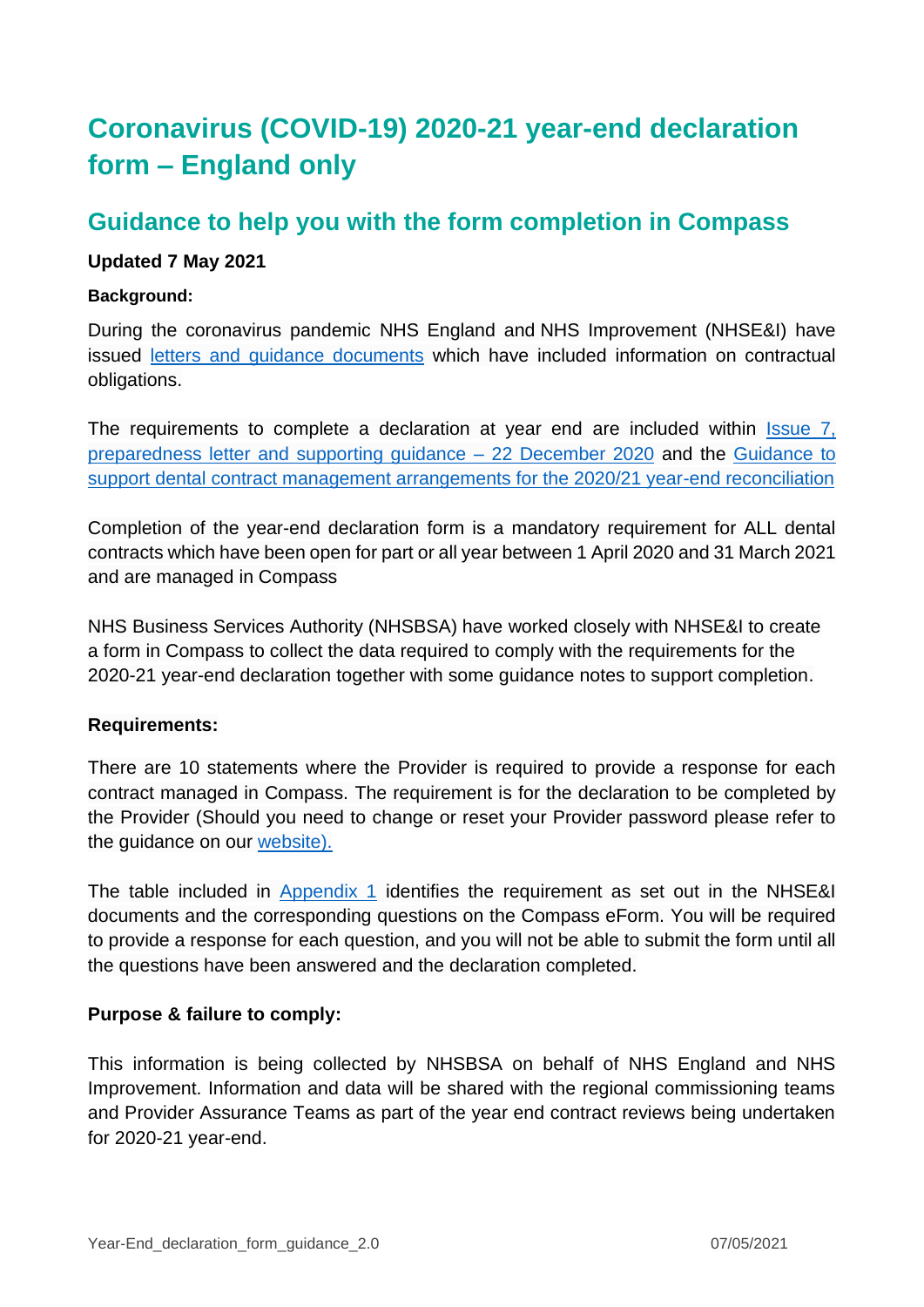# **Coronavirus (COVID-19) 2020-21 year-end declaration form – England only**

# **Guidance to help you with the form completion in Compass**

# **Updated 7 May 2021**

## **Background:**

During the coronavirus pandemic NHS England and NHS Improvement (NHSE&I) have issued [letters and guidance documents](https://www.england.nhs.uk/coronavirus/primary-care/dental-practice/) which have included information on contractual obligations.

The requirements to complete a declaration at year end are included within Issue 7, preparedness letter [and supporting guidance –](https://www.england.nhs.uk/coronavirus/publication/preparedness-letters-for-dental-care/) 22 December 2020 and the [Guidance to](https://www.nhsbsa.nhs.uk/dental-provider-assurance/dental-assurance-reviews/mid-yearyear-end-contract-reconciliation)  [support dental contract management arrangements for the 2020/21 year-end reconciliation](https://www.nhsbsa.nhs.uk/dental-provider-assurance/dental-assurance-reviews/mid-yearyear-end-contract-reconciliation)

Completion of the year-end declaration form is a mandatory requirement for ALL dental contracts which have been open for part or all year between 1 April 2020 and 31 March 2021 and are managed in Compass

NHS Business Services Authority (NHSBSA) have worked closely with NHSE&I to create a form in Compass to collect the data required to comply with the requirements for the 2020-21 year-end declaration together with some guidance notes to support completion.

### **Requirements:**

There are 10 statements where the Provider is required to provide a response for each contract managed in Compass. The requirement is for the declaration to be completed by the Provider (Should you need to change or reset your Provider password please refer to the guidance on our [website\)](https://www.nhsbsa.nhs.uk/compass).

The table included in [Appendix 1](#page-3-0) identifies the requirement as set out in the NHSE&I documents and the corresponding questions on the Compass eForm. You will be required to provide a response for each question, and you will not be able to submit the form until all the questions have been answered and the declaration completed.

# **Purpose & failure to comply:**

This information is being collected by NHSBSA on behalf of NHS England and NHS Improvement. Information and data will be shared with the regional commissioning teams and Provider Assurance Teams as part of the year end contract reviews being undertaken for 2020-21 year-end.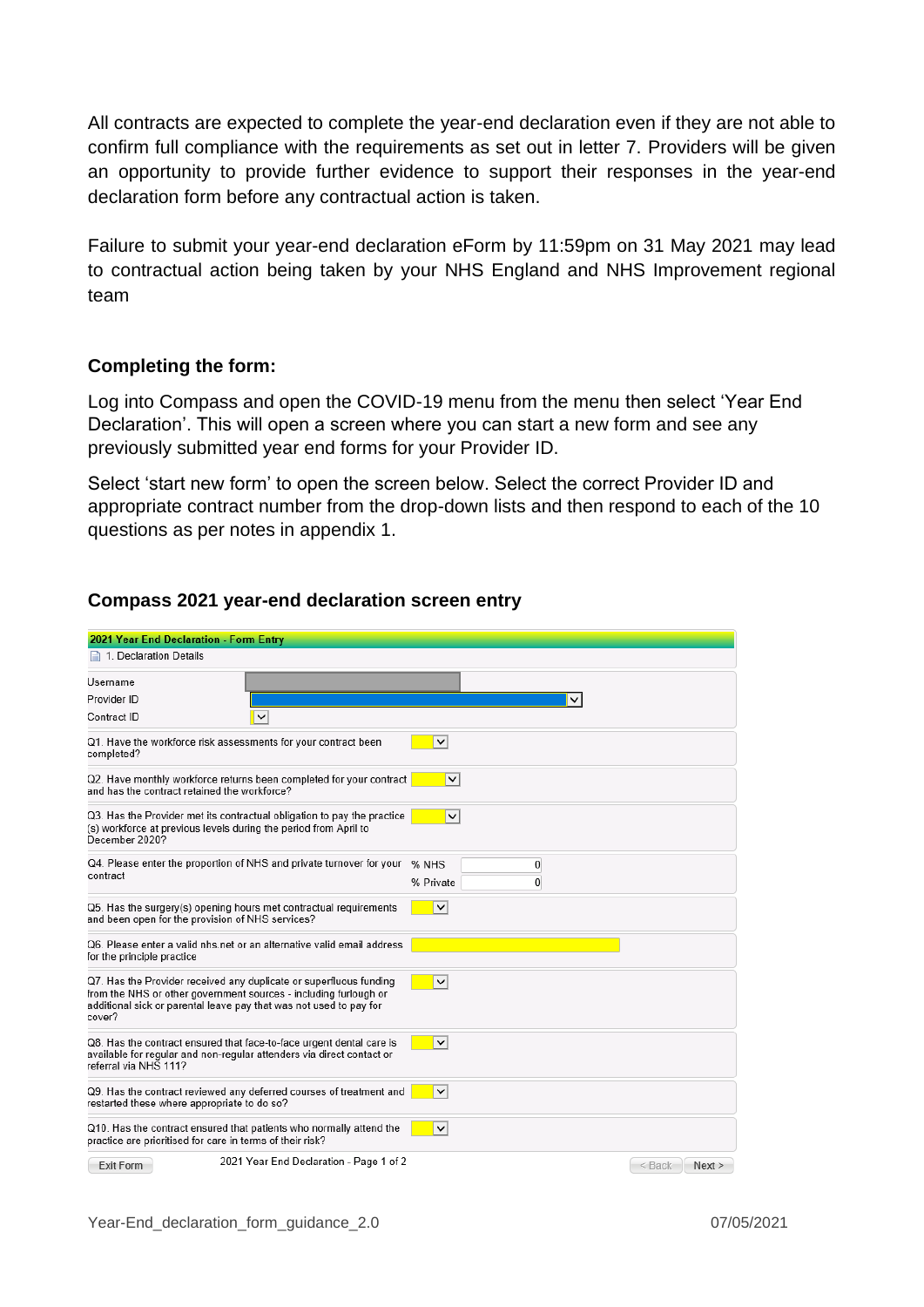All contracts are expected to complete the year-end declaration even if they are not able to confirm full compliance with the requirements as set out in letter 7. Providers will be given an opportunity to provide further evidence to support their responses in the year-end declaration form before any contractual action is taken.

Failure to submit your year-end declaration eForm by 11:59pm on 31 May 2021 may lead to contractual action being taken by your NHS England and NHS Improvement regional team

### **Completing the form:**

Log into Compass and open the COVID-19 menu from the menu then select 'Year End Declaration'. This will open a screen where you can start a new form and see any previously submitted year end forms for your Provider ID.

Select 'start new form' to open the screen below. Select the correct Provider ID and appropriate contract number from the drop-down lists and then respond to each of the 10 questions as per notes in appendix 1.

| 2021 Year End Declaration - Form Entry                                                                                                                                                                                 |                       |  |  |  |
|------------------------------------------------------------------------------------------------------------------------------------------------------------------------------------------------------------------------|-----------------------|--|--|--|
| 1. Declaration Details                                                                                                                                                                                                 |                       |  |  |  |
| Username                                                                                                                                                                                                               |                       |  |  |  |
| Provider ID                                                                                                                                                                                                            |                       |  |  |  |
| Contract ID<br>V                                                                                                                                                                                                       |                       |  |  |  |
| Q1. Have the workforce risk assessments for your contract been<br>completed?                                                                                                                                           | $\check{~}$           |  |  |  |
| Q2. Have monthly workforce returns been completed for your contract<br>$\check{~}$<br>and has the contract retained the workforce?                                                                                     |                       |  |  |  |
| Q3. Has the Provider met its contractual obligation to pay the practice<br>(s) workforce at previous levels during the period from April to<br>December 2020?                                                          | $\checkmark$          |  |  |  |
| Q4. Please enter the proportion of NHS and private turnover for your                                                                                                                                                   | % NHS<br>0            |  |  |  |
| contract                                                                                                                                                                                                               | $\theta$<br>% Private |  |  |  |
| Q5. Has the surgery(s) opening hours met contractual requirements<br>and been open for the provision of NHS services?                                                                                                  | $\checkmark$          |  |  |  |
| Q6. Please enter a valid nhs.net or an alternative valid email address<br>for the principle practice                                                                                                                   |                       |  |  |  |
| Q7. Has the Provider received any duplicate or superfluous funding<br>from the NHS or other government sources - including furlough or<br>additional sick or parental leave pay that was not used to pay for<br>cover? | $\checkmark$          |  |  |  |
| Q8. Has the contract ensured that face-to-face urgent dental care is<br>available for regular and non-regular attenders via direct contact or<br>referral via NHS 111?                                                 | $\checkmark$          |  |  |  |
| Q9. Has the contract reviewed any deferred courses of treatment and<br>restarted these where appropriate to do so?                                                                                                     | ∣∨                    |  |  |  |
| Q10. Has the contract ensured that patients who normally attend the<br>practice are prioritised for care in terms of their risk?                                                                                       | $\checkmark$          |  |  |  |
| 2021 Year End Declaration - Page 1 of 2<br>Exit Form                                                                                                                                                                   | $\leq$ Back<br>Next   |  |  |  |

#### **Compass 2021 year-end declaration screen entry**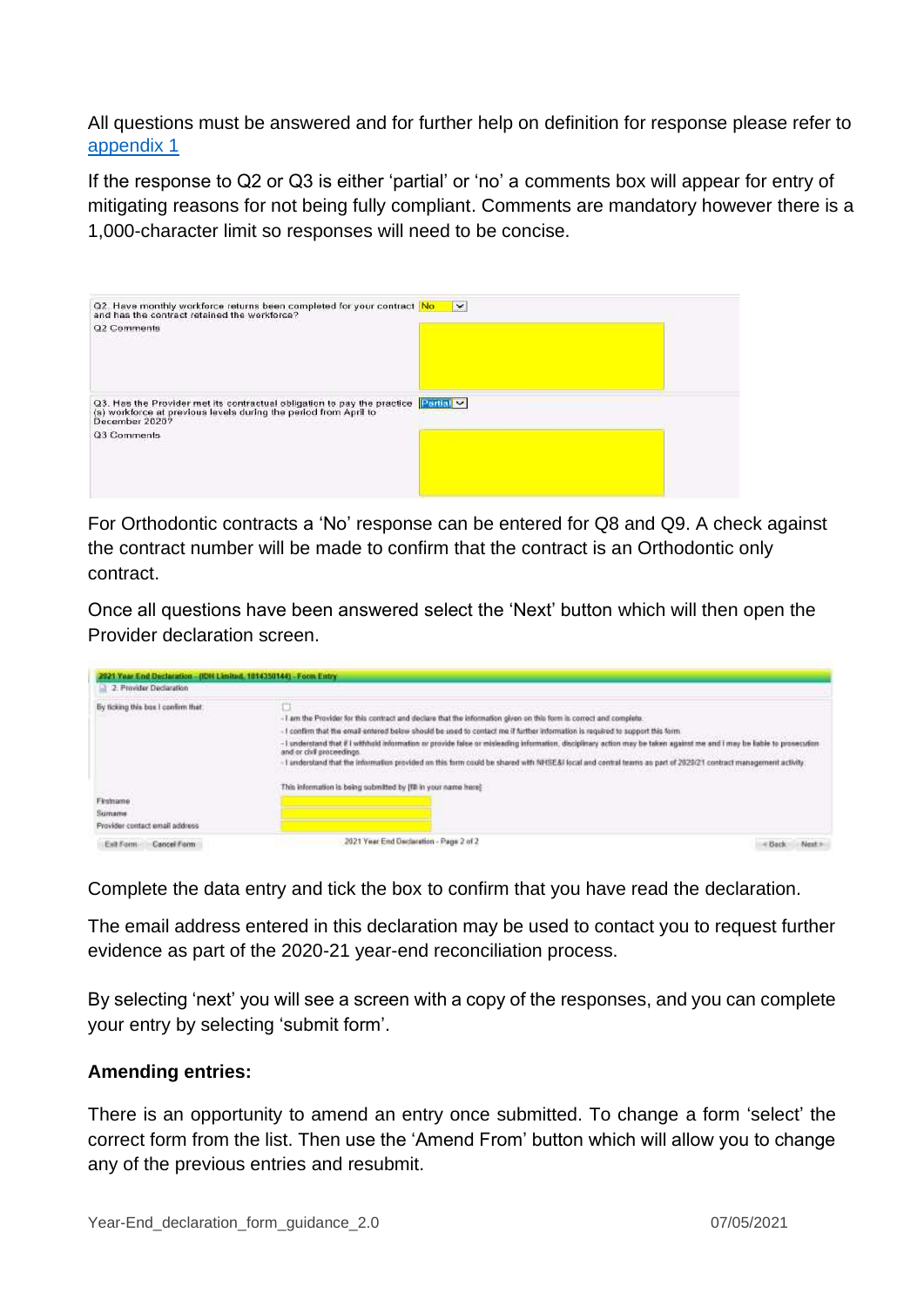All questions must be answered and for further help on definition for response please refer to [appendix 1](#page-3-0)

If the response to Q2 or Q3 is either 'partial' or 'no' a comments box will appear for entry of mitigating reasons for not being fully compliant. Comments are mandatory however there is a 1,000-character limit so responses will need to be concise.



For Orthodontic contracts a 'No' response can be entered for Q8 and Q9. A check against the contract number will be made to confirm that the contract is an Orthodontic only contract.

Once all questions have been answered select the 'Next' button which will then open the Provider declaration screen.

| 2021 Year End Declaration - (IDN Limited, 1014350144) - Form Entry<br>2. Provider Declaration |                                                                                                                                                                                                                                                                                                                                                                                                                                                                                                                                                                                                                             |        |
|-----------------------------------------------------------------------------------------------|-----------------------------------------------------------------------------------------------------------------------------------------------------------------------------------------------------------------------------------------------------------------------------------------------------------------------------------------------------------------------------------------------------------------------------------------------------------------------------------------------------------------------------------------------------------------------------------------------------------------------------|--------|
| By ticking this box I confirm that:                                                           | -1 am the Provider for this contract and declare that the information given on this form is correct and complete.<br>-1 coefirm that the email entered below should be used to contact me if further information is required to support this form.<br>-1 understand that if I withhold information or provide false or misleading information, disciplinary action may be taken against me and I may be lable to prosecution<br>and or civil proceedings.<br>- I understand that the information provided on this form could be shared with NHSE&I local and central teams as part of 2020/21 contract management activity. |        |
| Firstname<br>Sumame<br>Provider contact email address                                         | This information is being submitted by IFE in your name here!                                                                                                                                                                                                                                                                                                                                                                                                                                                                                                                                                               |        |
| Exit Form<br>Cancel Form                                                                      | 2021 Year End Declaration - Page 2 of 2                                                                                                                                                                                                                                                                                                                                                                                                                                                                                                                                                                                     | - Back |

Complete the data entry and tick the box to confirm that you have read the declaration.

The email address entered in this declaration may be used to contact you to request further evidence as part of the 2020-21 year-end reconciliation process.

By selecting 'next' you will see a screen with a copy of the responses, and you can complete your entry by selecting 'submit form'.

### **Amending entries:**

There is an opportunity to amend an entry once submitted. To change a form 'select' the correct form from the list. Then use the 'Amend From' button which will allow you to change any of the previous entries and resubmit.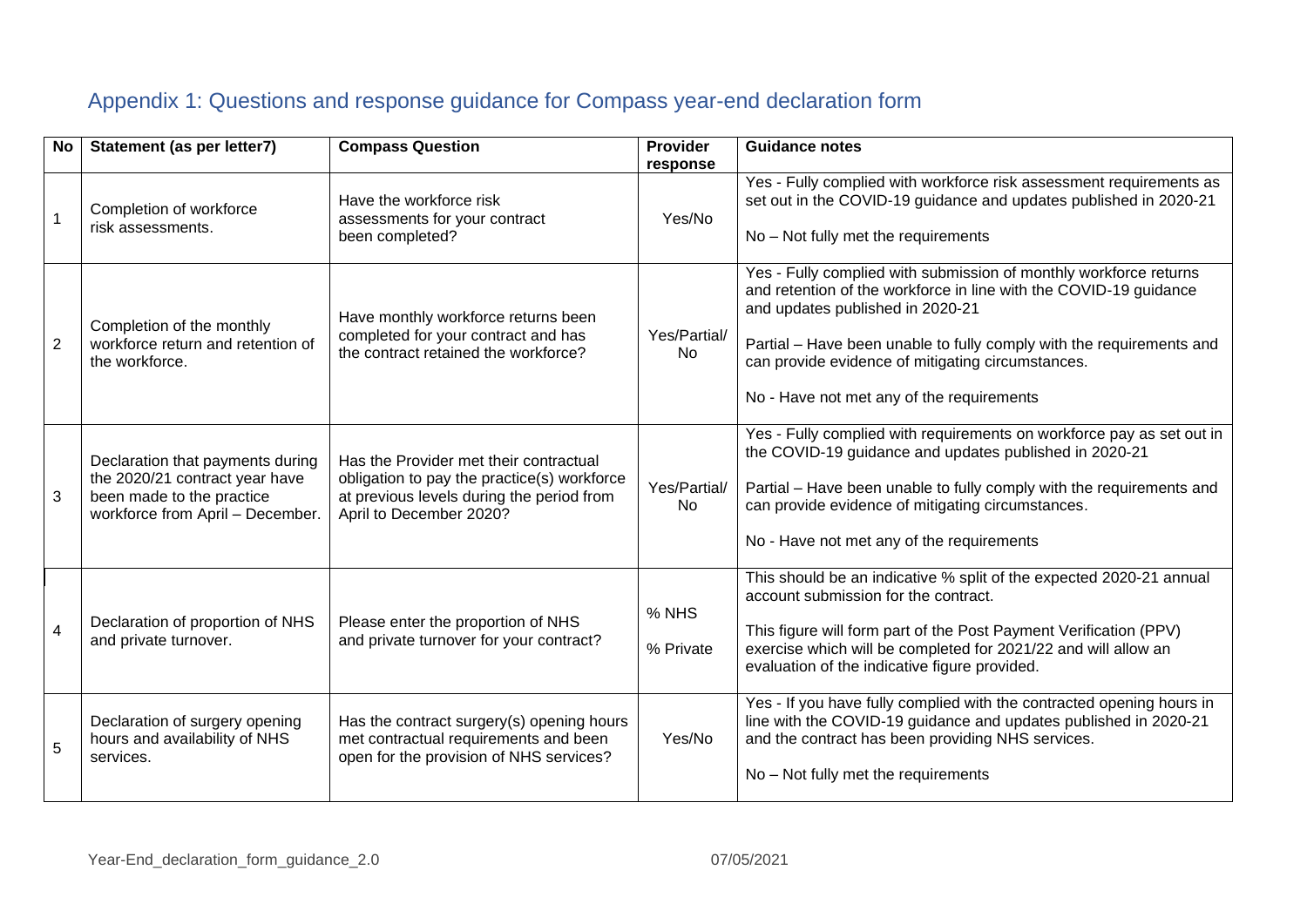# Appendix 1: Questions and response guidance for Compass year-end declaration form

<span id="page-3-0"></span>

| <b>No</b>      | Statement (as per letter7)                                                                                                          | <b>Compass Question</b>                                                                                                                                       | <b>Provider</b><br>response | <b>Guidance notes</b>                                                                                                                                                                                                                                                                                                                                |
|----------------|-------------------------------------------------------------------------------------------------------------------------------------|---------------------------------------------------------------------------------------------------------------------------------------------------------------|-----------------------------|------------------------------------------------------------------------------------------------------------------------------------------------------------------------------------------------------------------------------------------------------------------------------------------------------------------------------------------------------|
| $\overline{1}$ | Completion of workforce<br>risk assessments.                                                                                        | Have the workforce risk<br>assessments for your contract<br>been completed?                                                                                   | Yes/No                      | Yes - Fully complied with workforce risk assessment requirements as<br>set out in the COVID-19 guidance and updates published in 2020-21<br>No - Not fully met the requirements                                                                                                                                                                      |
| $\overline{2}$ | Completion of the monthly<br>workforce return and retention of<br>the workforce.                                                    | Have monthly workforce returns been<br>completed for your contract and has<br>the contract retained the workforce?                                            | Yes/Partial/<br><b>No</b>   | Yes - Fully complied with submission of monthly workforce returns<br>and retention of the workforce in line with the COVID-19 guidance<br>and updates published in 2020-21<br>Partial - Have been unable to fully comply with the requirements and<br>can provide evidence of mitigating circumstances.<br>No - Have not met any of the requirements |
| 3              | Declaration that payments during<br>the 2020/21 contract year have<br>been made to the practice<br>workforce from April - December. | Has the Provider met their contractual<br>obligation to pay the practice(s) workforce<br>at previous levels during the period from<br>April to December 2020? | Yes/Partial/<br>No          | Yes - Fully complied with requirements on workforce pay as set out in<br>the COVID-19 guidance and updates published in 2020-21<br>Partial - Have been unable to fully comply with the requirements and<br>can provide evidence of mitigating circumstances.<br>No - Have not met any of the requirements                                            |
| $\overline{4}$ | Declaration of proportion of NHS<br>and private turnover.                                                                           | Please enter the proportion of NHS<br>and private turnover for your contract?                                                                                 | % NHS<br>% Private          | This should be an indicative % split of the expected 2020-21 annual<br>account submission for the contract.<br>This figure will form part of the Post Payment Verification (PPV)<br>exercise which will be completed for 2021/22 and will allow an<br>evaluation of the indicative figure provided.                                                  |
| 5              | Declaration of surgery opening<br>hours and availability of NHS<br>services.                                                        | Has the contract surgery(s) opening hours<br>met contractual requirements and been<br>open for the provision of NHS services?                                 | Yes/No                      | Yes - If you have fully complied with the contracted opening hours in<br>line with the COVID-19 guidance and updates published in 2020-21<br>and the contract has been providing NHS services.<br>No - Not fully met the requirements                                                                                                                |